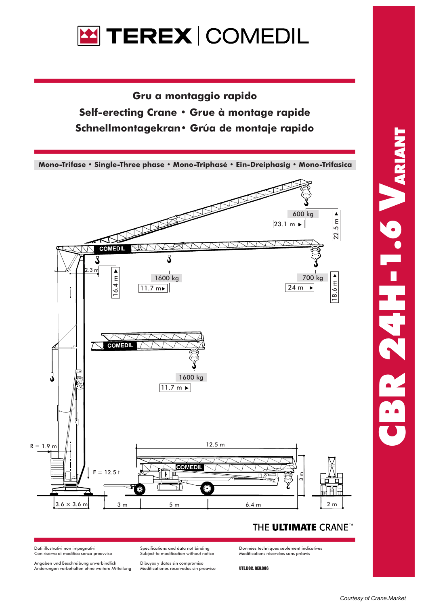

Gru a montaggio rapido Self-erecting Crane · Grue à montage rapide Schnellmontagekran · Grúa de montaje rapido



## THE ULTIMATE CRANE<sup>®</sup>

Dati illustrativi non impegnativi Con riserva di modifica senza preavviso

Angaben und Beschreibung unverbindlich<br>Änderungen vorbehalten ohne weitere Mitteilung

Specifications and data not binding Subject to modification without notice

Dibuyos y datos sin compromiso<br>Modificationes reservadas sin preaviso

Données techniques seulement indicatives Modifications réservées sans préavis

**UTE DOC. REV.006**